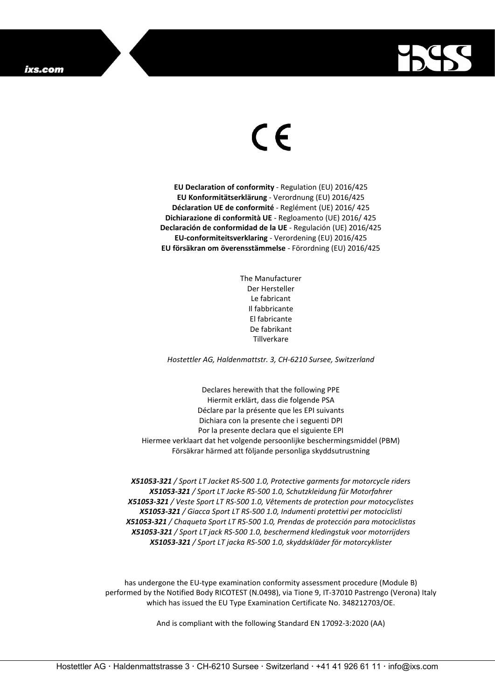

## $\epsilon$

**EU Declaration of conformity** - Regulation (EU) 2016/425 **EU Konformitätserklärung** - Verordnung (EU) 2016/425 **Déclaration UE de conformité** - Reglément (UE) 2016/ 425 **Dichiarazione di conformità UE** - Regloamento (UE) 2016/ 425 **Declaración de conformidad de la UE** - Regulación (UE) 2016/425 **EU-conformiteitsverklaring** - Verordening (EU) 2016/425 **EU försäkran om överensstämmelse** - Förordning (EU) 2016/425

> The Manufacturer Der Hersteller Le fabricant Il fabbricante El fabricante De fabrikant Tillverkare

*Hostettler AG, Haldenmattstr. 3, CH-6210 Sursee, Switzerland*

Declares herewith that the following PPE Hiermit erklärt, dass die folgende PSA Déclare par la présente que les EPI suivants Dichiara con la presente che i seguenti DPI Por la presente declara que el siguiente EPI Hiermee verklaart dat het volgende persoonlijke beschermingsmiddel (PBM) Försäkrar härmed att följande personliga skyddsutrustning

*X51053-321 / Sport LT Jacket RS-500 1.0, Protective garments for motorcycle riders X51053-321 / Sport LT Jacke RS-500 1.0, Schutzkleidung für Motorfahrer X51053-321 / Veste Sport LT RS-500 1.0, Vêtements de protection pour motocyclistes X51053-321 / Giacca Sport LT RS-500 1.0, Indumenti protettivi per motociclisti X51053-321 / Chaqueta Sport LT RS-500 1.0, Prendas de protección para motociclistas X51053-321 / Sport LT jack RS-500 1.0, beschermend kledingstuk voor motorrijders X51053-321 / Sport LT jacka RS-500 1.0, skyddskläder för motorcyklister*

has undergone the EU-type examination conformity assessment procedure (Module B) performed by the Notified Body RICOTEST (N.0498), via Tione 9, IT-37010 Pastrengo (Verona) Italy which has issued the EU Type Examination Certificate No. 348212703/OE.

And is compliant with the following Standard EN 17092-3:2020 (AA)